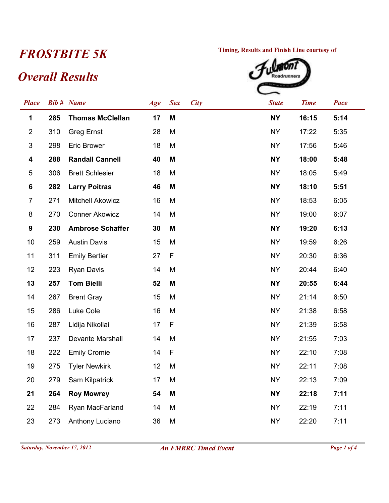## *Overall Results*



| <b>Place</b>              |     | <b>Bib #</b> Name       | Age | <b>Sex</b>  | <b>City</b> | <b>State</b> | <b>Time</b> | Pace |
|---------------------------|-----|-------------------------|-----|-------------|-------------|--------------|-------------|------|
| 1                         | 285 | <b>Thomas McClellan</b> | 17  | M           |             | <b>NY</b>    | 16:15       | 5:14 |
| $\overline{2}$            | 310 | <b>Greg Ernst</b>       | 28  | M           |             | <b>NY</b>    | 17:22       | 5:35 |
| $\ensuremath{\mathsf{3}}$ | 298 | <b>Eric Brower</b>      | 18  | M           |             | <b>NY</b>    | 17:56       | 5:46 |
| 4                         | 288 | <b>Randall Cannell</b>  | 40  | M           |             | <b>NY</b>    | 18:00       | 5:48 |
| $\sqrt{5}$                | 306 | <b>Brett Schlesier</b>  | 18  | M           |             | <b>NY</b>    | 18:05       | 5:49 |
| 6                         | 282 | <b>Larry Poitras</b>    | 46  | M           |             | <b>NY</b>    | 18:10       | 5:51 |
| $\overline{7}$            | 271 | <b>Mitchell Akowicz</b> | 16  | M           |             | <b>NY</b>    | 18:53       | 6:05 |
| $\bf 8$                   | 270 | <b>Conner Akowicz</b>   | 14  | M           |             | <b>NY</b>    | 19:00       | 6:07 |
| $\boldsymbol{9}$          | 230 | <b>Ambrose Schaffer</b> | 30  | M           |             | <b>NY</b>    | 19:20       | 6:13 |
| 10                        | 259 | <b>Austin Davis</b>     | 15  | M           |             | <b>NY</b>    | 19:59       | 6:26 |
| 11                        | 311 | <b>Emily Bertier</b>    | 27  | F           |             | <b>NY</b>    | 20:30       | 6:36 |
| 12                        | 223 | <b>Ryan Davis</b>       | 14  | M           |             | <b>NY</b>    | 20:44       | 6:40 |
| 13                        | 257 | <b>Tom Bielli</b>       | 52  | M           |             | <b>NY</b>    | 20:55       | 6:44 |
| 14                        | 267 | <b>Brent Gray</b>       | 15  | M           |             | <b>NY</b>    | 21:14       | 6:50 |
| 15                        | 286 | Luke Cole               | 16  | M           |             | <b>NY</b>    | 21:38       | 6:58 |
| 16                        | 287 | Lidija Nikollai         | 17  | $\mathsf F$ |             | <b>NY</b>    | 21:39       | 6:58 |
| 17                        | 237 | Devante Marshall        | 14  | M           |             | <b>NY</b>    | 21:55       | 7:03 |
| 18                        | 222 | <b>Emily Cromie</b>     | 14  | F           |             | <b>NY</b>    | 22:10       | 7:08 |
| 19                        | 275 | <b>Tyler Newkirk</b>    | 12  | M           |             | <b>NY</b>    | 22:11       | 7:08 |
| 20                        | 279 | Sam Kilpatrick          | 17  | M           |             | <b>NY</b>    | 22:13       | 7:09 |
| 21                        | 264 | <b>Roy Mowrey</b>       | 54  | M           |             | <b>NY</b>    | 22:18       | 7:11 |
| 22                        | 284 | Ryan MacFarland         | 14  | M           |             | <b>NY</b>    | 22:19       | 7:11 |
| 23                        | 273 | Anthony Luciano         | 36  | M           |             | <b>NY</b>    | 22:20       | 7:11 |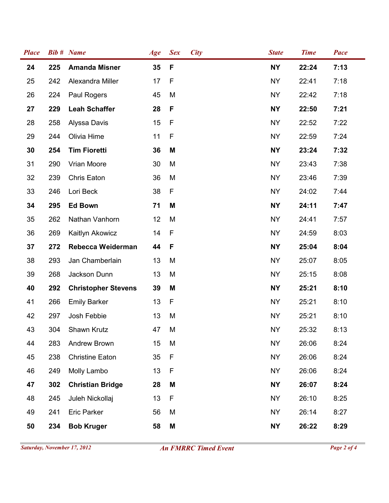| <b>Place</b> |     | <b>Bib #</b> Name          | Age | <b>Sex</b>  | <b>City</b> | <b>State</b> | <b>Time</b> | Pace |
|--------------|-----|----------------------------|-----|-------------|-------------|--------------|-------------|------|
| 24           | 225 | <b>Amanda Misner</b>       | 35  | $\mathsf F$ |             | <b>NY</b>    | 22:24       | 7:13 |
| 25           | 242 | Alexandra Miller           | 17  | F           |             | <b>NY</b>    | 22:41       | 7:18 |
| 26           | 224 | Paul Rogers                | 45  | M           |             | <b>NY</b>    | 22:42       | 7:18 |
| 27           | 229 | <b>Leah Schaffer</b>       | 28  | F           |             | <b>NY</b>    | 22:50       | 7:21 |
| 28           | 258 | Alyssa Davis               | 15  | F           |             | <b>NY</b>    | 22:52       | 7:22 |
| 29           | 244 | Olivia Hime                | 11  | F           |             | <b>NY</b>    | 22:59       | 7:24 |
| 30           | 254 | <b>Tim Fioretti</b>        | 36  | M           |             | <b>NY</b>    | 23:24       | 7:32 |
| 31           | 290 | Vrian Moore                | 30  | M           |             | <b>NY</b>    | 23:43       | 7:38 |
| 32           | 239 | Chris Eaton                | 36  | M           |             | <b>NY</b>    | 23:46       | 7:39 |
| 33           | 246 | Lori Beck                  | 38  | F           |             | <b>NY</b>    | 24:02       | 7:44 |
| 34           | 295 | <b>Ed Bown</b>             | 71  | M           |             | <b>NY</b>    | 24:11       | 7:47 |
| 35           | 262 | Nathan Vanhorn             | 12  | M           |             | <b>NY</b>    | 24:41       | 7:57 |
| 36           | 269 | Kaitlyn Akowicz            | 14  | F           |             | <b>NY</b>    | 24:59       | 8:03 |
| 37           | 272 | Rebecca Weiderman          | 44  | F           |             | <b>NY</b>    | 25:04       | 8:04 |
| 38           | 293 | Jan Chamberlain            | 13  | M           |             | <b>NY</b>    | 25:07       | 8:05 |
| 39           | 268 | Jackson Dunn               | 13  | M           |             | <b>NY</b>    | 25:15       | 8:08 |
| 40           | 292 | <b>Christopher Stevens</b> | 39  | M           |             | <b>NY</b>    | 25:21       | 8:10 |
| 41           | 266 | <b>Emily Barker</b>        | 13  | F           |             | <b>NY</b>    | 25:21       | 8:10 |
| 42           | 297 | Josh Febbie                | 13  | M           |             | <b>NY</b>    | 25:21       | 8:10 |
| 43           | 304 | Shawn Krutz                | 47  | M           |             | <b>NY</b>    | 25:32       | 8:13 |
| 44           | 283 | Andrew Brown               | 15  | M           |             | <b>NY</b>    | 26:06       | 8:24 |
| 45           | 238 | <b>Christine Eaton</b>     | 35  | F           |             | <b>NY</b>    | 26:06       | 8:24 |
| 46           | 249 | Molly Lambo                | 13  | F           |             | <b>NY</b>    | 26:06       | 8:24 |
| 47           | 302 | <b>Christian Bridge</b>    | 28  | M           |             | <b>NY</b>    | 26:07       | 8:24 |
| 48           | 245 | Juleh Nickollaj            | 13  | F           |             | <b>NY</b>    | 26:10       | 8:25 |
| 49           | 241 | Eric Parker                | 56  | M           |             | <b>NY</b>    | 26:14       | 8:27 |
| 50           | 234 | <b>Bob Kruger</b>          | 58  | M           |             | <b>NY</b>    | 26:22       | 8:29 |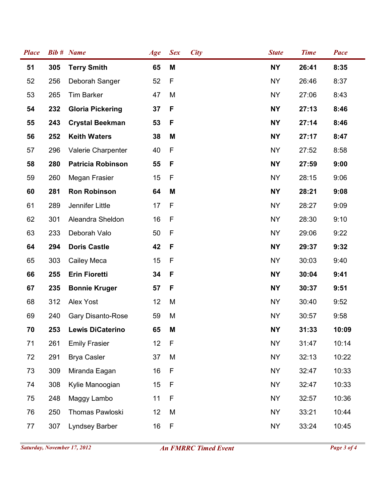| <b>Place</b> |     | <b>Bib # Name</b>        | Age | <b>Sex</b>  | <b>City</b> | <b>State</b> | <b>Time</b> | Pace  |
|--------------|-----|--------------------------|-----|-------------|-------------|--------------|-------------|-------|
| 51           | 305 | <b>Terry Smith</b>       | 65  | M           |             | <b>NY</b>    | 26:41       | 8:35  |
| 52           | 256 | Deborah Sanger           | 52  | F           |             | <b>NY</b>    | 26:46       | 8:37  |
| 53           | 265 | <b>Tim Barker</b>        | 47  | M           |             | <b>NY</b>    | 27:06       | 8:43  |
| 54           | 232 | <b>Gloria Pickering</b>  | 37  | F           |             | <b>NY</b>    | 27:13       | 8:46  |
| 55           | 243 | <b>Crystal Beekman</b>   | 53  | F           |             | <b>NY</b>    | 27:14       | 8:46  |
| 56           | 252 | <b>Keith Waters</b>      | 38  | M           |             | <b>NY</b>    | 27:17       | 8:47  |
| 57           | 296 | Valerie Charpenter       | 40  | $\mathsf F$ |             | <b>NY</b>    | 27:52       | 8:58  |
| 58           | 280 | <b>Patricia Robinson</b> | 55  | F           |             | <b>NY</b>    | 27:59       | 9:00  |
| 59           | 260 | Megan Frasier            | 15  | F           |             | <b>NY</b>    | 28:15       | 9:06  |
| 60           | 281 | <b>Ron Robinson</b>      | 64  | M           |             | <b>NY</b>    | 28:21       | 9:08  |
| 61           | 289 | Jennifer Little          | 17  | F           |             | <b>NY</b>    | 28:27       | 9:09  |
| 62           | 301 | Aleandra Sheldon         | 16  | F           |             | <b>NY</b>    | 28:30       | 9:10  |
| 63           | 233 | Deborah Valo             | 50  | $\mathsf F$ |             | <b>NY</b>    | 29:06       | 9:22  |
| 64           | 294 | <b>Doris Castle</b>      | 42  | F           |             | <b>NY</b>    | 29:37       | 9:32  |
| 65           | 303 | Cailey Meca              | 15  | F           |             | <b>NY</b>    | 30:03       | 9:40  |
| 66           | 255 | <b>Erin Fioretti</b>     | 34  | F           |             | <b>NY</b>    | 30:04       | 9:41  |
| 67           | 235 | <b>Bonnie Kruger</b>     | 57  | F           |             | <b>NY</b>    | 30:37       | 9:51  |
| 68           | 312 | Alex Yost                | 12  | M           |             | <b>NY</b>    | 30:40       | 9:52  |
| 69           | 240 | Gary Disanto-Rose        | 59  | M           |             | <b>NY</b>    | 30:57       | 9:58  |
| 70           | 253 | <b>Lewis DiCaterino</b>  | 65  | Μ           |             | <b>NY</b>    | 31:33       | 10:09 |
| 71           | 261 | <b>Emily Frasier</b>     | 12  | F           |             | <b>NY</b>    | 31:47       | 10:14 |
| 72           | 291 | <b>Brya Casler</b>       | 37  | M           |             | <b>NY</b>    | 32:13       | 10:22 |
| 73           | 309 | Miranda Eagan            | 16  | $\mathsf F$ |             | <b>NY</b>    | 32:47       | 10:33 |
| 74           | 308 | Kylie Manoogian          | 15  | F           |             | <b>NY</b>    | 32:47       | 10:33 |
| 75           | 248 | Maggy Lambo              | 11  | F           |             | <b>NY</b>    | 32:57       | 10:36 |
| 76           | 250 | Thomas Pawloski          | 12  | M           |             | <b>NY</b>    | 33:21       | 10:44 |
| 77           | 307 | Lyndsey Barber           | 16  | F           |             | NY           | 33:24       | 10:45 |